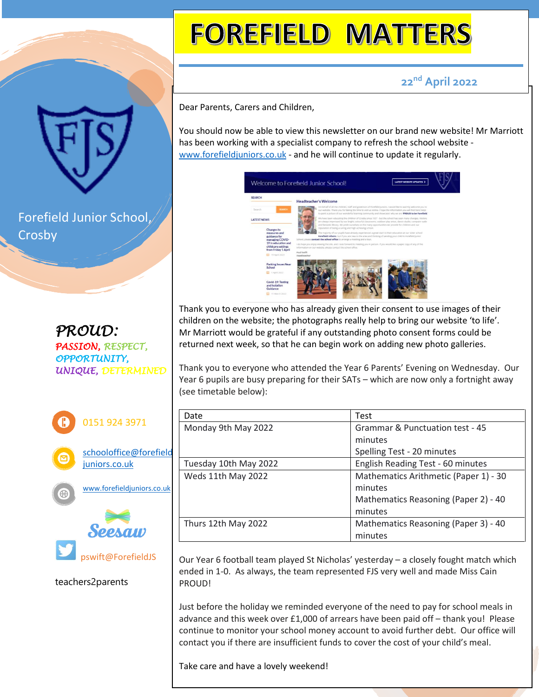## **FOREFIELD MATTERS**

 **22nd April 2022**

Dear Parents, Carers and Children,

You should now be able to view this newsletter on our brand new website! Mr Marriott has been working with a specialist company to refresh the school website [www.forefieldjuniors.co.uk](http://www.forefieldjuniors.co.uk/) - and he will continue to update it regularly.

| <b>SEARCH</b>                             | <b>Headteacher's Welcome</b>                                                                                                                                                                                                                                                                                                               |  |  |
|-------------------------------------------|--------------------------------------------------------------------------------------------------------------------------------------------------------------------------------------------------------------------------------------------------------------------------------------------------------------------------------------------|--|--|
| SEARCH<br>Search                          | On behalf of all the children, staff and governors of Forefield Juniors. I would like to warmly welcome you to<br>our website. Thank you for taking the time to visit us online, I hope the information you will find here helps<br>to paint a picture of our wonderful learning community and showcases why we are PROUD to be Forefield. |  |  |
| <b>LATEST NEWS</b>                        | We have been educating the children of Crosby since 1937 - but the school has seen many changes. Visitors<br>are always impressed by our bright, colourful classrooms, outdoor play areas, dance studio, computer suite<br>and fantastic library. We pride ourselves on the many opportunities we provide for children and our             |  |  |
| <b>Changes to</b>                         | reputation of being a caring and high achieving school.                                                                                                                                                                                                                                                                                    |  |  |
| measures and<br>guidance for              | The majority of our pupils have already experienced a great start to their education at our sister school.<br>Forefield Infants, but if you are new to the area and thinking of sending your child to Porefield junior                                                                                                                     |  |  |
| managing COVID-<br>19 in education and    | School, pinese contact the school office to amange a meeting and a tour.                                                                                                                                                                                                                                                                   |  |  |
| childcare settings<br>from Friday 1 April | I do hope you enjoy viewing the site, and I look forward to meeting you in person. If you would like a paper copy of any of the<br>information on our website, please contact the school office.                                                                                                                                           |  |  |
| 日 19 April 2022                           | Paul Swift<br>Headbaarber                                                                                                                                                                                                                                                                                                                  |  |  |
|                                           |                                                                                                                                                                                                                                                                                                                                            |  |  |
| <b>Parking Issues Near</b><br>School      |                                                                                                                                                                                                                                                                                                                                            |  |  |
| 日 T April 2022                            |                                                                                                                                                                                                                                                                                                                                            |  |  |
| Covid-19: Testing<br>and lenlation        |                                                                                                                                                                                                                                                                                                                                            |  |  |
| Guidance                                  |                                                                                                                                                                                                                                                                                                                                            |  |  |
| 11 March 2022                             |                                                                                                                                                                                                                                                                                                                                            |  |  |

Thank you to everyone who has already given their consent to use images of their children on the website; the photographs really help to bring our website 'to life'. Mr Marriott would be grateful if any outstanding photo consent forms could be returned next week, so that he can begin work on adding new photo galleries.

Thank you to everyone who attended the Year 6 Parents' Evening on Wednesday. Our Year 6 pupils are busy preparing for their SATs – which are now only a fortnight away (see timetable below):

| Date                  | <b>Test</b>                           |
|-----------------------|---------------------------------------|
| Monday 9th May 2022   | Grammar & Punctuation test - 45       |
|                       | minutes                               |
|                       | Spelling Test - 20 minutes            |
| Tuesday 10th May 2022 | English Reading Test - 60 minutes     |
| Weds 11th May 2022    | Mathematics Arithmetic (Paper 1) - 30 |
|                       | minutes                               |
|                       | Mathematics Reasoning (Paper 2) - 40  |
|                       | minutes                               |
| Thurs 12th May 2022   | Mathematics Reasoning (Paper 3) - 40  |
|                       | minutes                               |

Our Year 6 football team played St Nicholas' yesterday – a closely fought match which ended in 1-0. As always, the team represented FJS very well and made Miss Cain PROUD!

Just before the holiday we reminded everyone of the need to pay for school meals in advance and this week over £1,000 of arrears have been paid off – thank you! Please continue to monitor your school money account to avoid further debt. Our office will contact you if there are insufficient funds to cover the cost of your child's meal.

Take care and have a lovely weekend!

Forefield Junior School, Crosby

*PROUD: PASSION, RESPECT, OPPORTUNITY, UNIQUE, DETERMINED*



teachers2parents